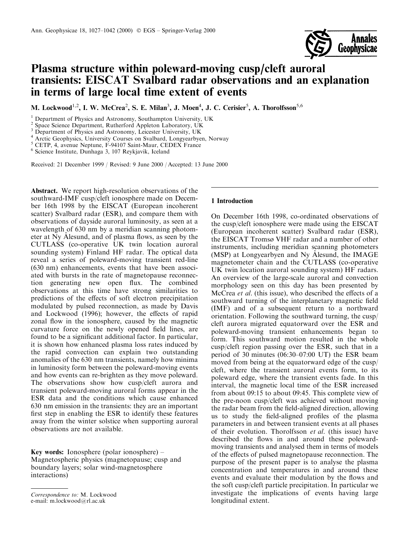

# Plasma structure within poleward-moving cusp/cleft auroral transients: EISCAT Svalbard radar observations and an explanation in terms of large local time extent of events

M. Lockwood<sup>1,2</sup>, I. W. McCrea<sup>2</sup>, S. E. Milan<sup>3</sup>, J. Moen<sup>4</sup>, J. C. Cerisier<sup>5</sup>, A. Thorolfsson<sup>5,6</sup>

<sup>3</sup> Department of Physics and Astronomy, Leicester University, UK

<sup>4</sup> Arctic Geophysics, University Courses on Svalbard, Longyearbyen, Norway

<sup>5</sup> CETP, 4, avenue Neptune, F-94107 Saint-Maur, CEDEX France

<sup>6</sup> Science Institute, Dunhaga 3, 107 Reykjavik, Iceland

Received: 21 December 1999 / Revised: 9 June 2000 / Accepted: 13 June 2000

Abstract. We report high-resolution observations of the southward-IMF cusp/cleft ionosphere made on December 16th 1998 by the EISCAT (European incoherent scatter) Svalbard radar (ESR), and compare them with observations of dayside auroral luminosity, as seen at a wavelength of 630 nm by a meridian scanning photometer at Ny Alesund, and of plasma flows, as seen by the CUTLASS (co-operative UK twin location auroral sounding system) Finland HF radar. The optical data reveal a series of poleward-moving transient red-line (630 nm) enhancements, events that have been associated with bursts in the rate of magnetopause reconnection generating new open flux. The combined observations at this time have strong similarities to predictions of the effects of soft electron precipitation modulated by pulsed reconnection, as made by Davis and Lockwood (1996); however, the effects of rapid zonal flow in the ionosphere, caused by the magnetic curvature force on the newly opened field lines, are found to be a significant additional factor. In particular, it is shown how enhanced plasma loss rates induced by the rapid convection can explain two outstanding anomalies of the 630 nm transients, namely how minima in luminosity form between the poleward-moving events and how events can re-brighten as they move poleward. The observations show how cusp/cleft aurora and transient poleward-moving auroral forms appear in the ESR data and the conditions which cause enhanced 630 nm emission in the transients: they are an important first step in enabling the ESR to identify these features away from the winter solstice when supporting auroral observations are not available.

**Key words:** Ionosphere (polar ionosphere) – Magnetospheric physics (magnetopause; cusp and boundary layers; solar wind-magnetosphere interactions)

# 1 Introduction

On December 16th 1998, co-ordinated observations of the cusp/cleft ionosphere were made using the EISCAT (European incoherent scatter) Svalbard radar (ESR), the EISCAT Tromsø VHF radar and a number of other instruments, including meridian scanning photometers (MSP) at Longyearbyen and Ny Alesund, the IMAGE magnetometer chain and the CUTLASS (co-operative UK twin location auroral sounding system) HF radars. An overview of the large-scale auroral and convection morphology seen on this day has been presented by McCrea et al. (this issue), who described the effects of a southward turning of the interplanetary magnetic field (IMF) and of a subsequent return to a northward orientation. Following the southward turning, the cusp/ cleft aurora migrated equatorward over the ESR and poleward-moving transient enhancements began to form. This southward motion resulted in the whole cusp/cleft region passing over the ESR, such that in a period of 30 minutes  $(06:30-07:00 \text{ UT})$  the ESR beam moved from being at the equatorward edge of the cusp/ cleft, where the transient auroral events form, to its poleward edge, where the transient events fade. In this interval, the magnetic local time of the ESR increased from about 09:15 to about 09:45. This complete view of the pre-noon cusp/cleft was achieved without moving the radar beam from the field-aligned direction, allowing us to study the field-aligned profiles of the plasma parameters in and between transient events at all phases of their evolution. Thorolfsson et al. (this issue) have described the flows in and around these polewardmoving transients and analysed them in terms of models of the effects of pulsed magnetopause reconnection. The purpose of the present paper is to analyse the plasma concentration and temperatures in and around these events and evaluate their modulation by the flows and the soft cusp/cleft particle precipitation. In particular we investigate the implications of events having large longitudinal extent.

<sup>&</sup>lt;sup>1</sup> Department of Physics and Astronomy, Southampton University, UK

Space Science Department, Rutherford Appleton Laboratory, UK

Correspondence to: M. Lockwood e-mail: m.lockwood@rl.ac.uk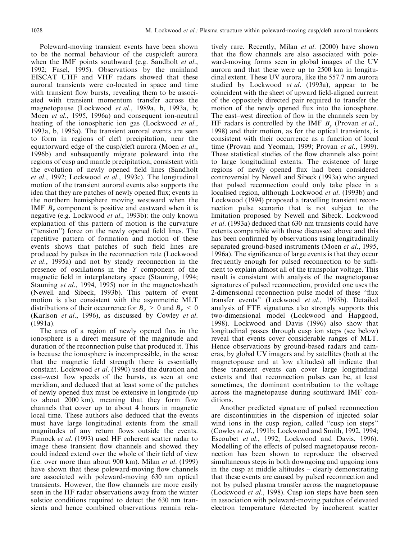Poleward-moving transient events have been shown to be the normal behaviour of the cusp/cleft aurora when the IMF points southward (e.g. Sandholt *et al.*, 1992; Fasel, 1995). Observations by the mainland EISCAT UHF and VHF radars showed that these auroral transients were co-located in space and time with transient flow bursts, revealing them to be associated with transient momentum transfer across the magnetopause (Lockwood et al., 1989a, b, 1993a, b; Moen et al., 1995, 1996a) and consequent ion-neutral heating of the ionospheric ion gas (Lockwood *et al.*, 1993a, b, 1995a). The transient auroral events are seen to form in regions of cleft precipitation, near the equatorward edge of the cusp/cleft aurora (Moen *et al.*, 1996b) and subsequently migrate poleward into the regions of cusp and mantle precipitation, consistent with the evolution of newly opened field lines (Sandholt *et al.*, 1992; Lockwood *et al.*, 1993c). The longitudinal motion of the transient auroral events also supports the idea that they are patches of newly opened flux; events in the northern hemisphere moving westward when the IMF  $B<sub>v</sub>$  component is positive and eastward when it is negative (e.g. Lockwood et al., 1993b): the only known explanation of this pattern of motion is the curvature ("tension") force on the newly opened field lines. The repetitive pattern of formation and motion of these events shows that patches of such field lines are produced by pulses in the reconnection rate (Lockwood *et al.*, 1995a) and not by steady reconnection in the presence of oscillations in the Y component of the magnetic field in interplanetary space (Stauning, 1994; Stauning et al., 1994, 1995) nor in the magnetosheath (Newell and Sibeck, 1993b). This pattern of event motion is also consistent with the asymmetric MLT distributions of their occurrence for  $B_v > 0$  and  $B_v < 0$ (Karlson *et al.*, 1996), as discussed by Cowley *et al.*  $(1991a).$ 

The area of a region of newly opened flux in the ionosphere is a direct measure of the magnitude and duration of the reconnection pulse that produced it. This is because the ionosphere is incompressible, in the sense that the magnetic field strength there is essentially constant. Lockwood *et al.* (1990) used the duration and east-west flow speeds of the bursts, as seen at one meridian, and deduced that at least some of the patches of newly opened flux must be extensive in longitude (up) to about 2000 km), meaning that they form flow channels that cover up to about 4 hours in magnetic local time. These authors also deduced that the events must have large longitudinal extents from the small magnitudes of any return flows outside the events. Pinnock et al. (1993) used HF coherent scatter radar to image these transient flow channels and showed they could indeed extend over the whole of their field of view (i.e. over more than about 900 km). Milan et al. (1999) have shown that these poleward-moving flow channels are associated with poleward-moving 630 nm optical transients. However, the flow channels are more easily seen in the HF radar observations away from the winter solstice conditions required to detect the 630 nm transients and hence combined observations remain relatively rare. Recently, Milan et al. (2000) have shown that the flow channels are also associated with poleward-moving forms seen in global images of the UV aurora and that these were up to 2500 km in longitudinal extent. These UV aurora, like the 557.7 nm aurora studied by Lockwood *et al.* (1993a), appear to be coincident with the sheet of upward field-aligned current of the oppositely directed pair required to transfer the motion of the newly opened flux into the ionosphere. The east-west direction of flow in the channels seen by HF radars is controlled by the IMF  $B<sub>v</sub>$  (Provan *et al.*, 1998) and their motion, as for the optical transients, is consistent with their occurrence as a function of local time (Provan and Yeoman, 1999; Provan et al., 1999). These statistical studies of the flow channels also point to large longitudinal extents. The existence of large regions of newly opened flux had been considered controversial by Newell and Sibeck (1993a) who argued that pulsed reconnection could only take place in a localised region, although Lockwood et al. (1993b) and Lockwood (1994) proposed a travelling transient reconnection pulse scenario that is not subject to the limitation proposed by Newell and Sibeck. Lockwood *et al.* (1993a) deduced that 630 nm transients could have extents comparable with those discussed above and this has been confirmed by observations using longitudinally separated ground-based instruments (Moen et al., 1995, 1996a). The significance of large events is that they occur frequently enough for pulsed reconnection to be sufficient to explain almost all of the transpolar voltage. This result is consistent with analysis of the magnetopause signatures of pulsed reconnection, provided one uses the 2-dimensional reconnection pulse model of these "flux" transfer events" (Lockwood et al., 1995b). Detailed analysis of FTE signatures also strongly supports this two-dimensional model (Lockwood and Hapgood, 1998). Lockwood and Davis (1996) also show that longitudinal passes through cusp ion steps (see below) reveal that events cover considerable ranges of MLT. Hence observations by ground-based radars and cameras, by global UV imagers and by satellities (both at the magnetopause and at low altitudes) all indicate that these transient events can cover large longitudinal extents and that reconnection pulses can be, at least sometimes, the dominant contribution to the voltage across the magnetopause during southward IMF conditions.

Another predicted signature of pulsed reconnection are discontinuities in the dispersion of injected solar wind ions in the cusp region, called "cusp ion steps" (Cowley et al., 1991b; Lockwood and Smith, 1992, 1994; Escoubet et al., 1992; Lockwood and Davis, 1996). Modelling of the effects of pulsed magnetopause reconnection has been shown to reproduce the observed simultaneous steps in both downgoing and upgoing ions in the cusp at middle altitudes  $-$  clearly demonstrating that these events are caused by pulsed reconnection and not by pulsed plasma transfer across the magnetopause (Lockwood et al., 1998). Cusp ion steps have been seen in association with poleward-moving patches of elevated electron temperature (detected by incoherent scatter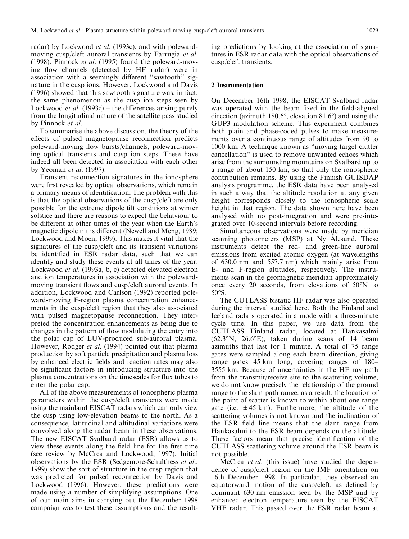radar) by Lockwood et al. (1993c), and with polewardmoving cusp/cleft auroral transients by Farrugia et al. (1998). Pinnock *et al.* (1995) found the poleward-moving flow channels (detected by HF radar) were in association with a seemingly different "sawtooth" signature in the cusp ions. However, Lockwood and Davis (1996) showed that this sawtooth signature was, in fact, the same phenomenon as the cusp ion steps seen by Lockwood *et al.* (1993c) – the differences arising purely from the longitudinal nature of the satellite pass studied by Pinnock et al.

To summarise the above discussion, the theory of the effects of pulsed magnetopause reconnection predicts poleward-moving flow bursts/channels, poleward-moving optical transients and cusp ion steps. These have indeed all been detected in association with each other by Yeoman  $et$  al. (1997).

Transient reconnection signatures in the ionosphere were first revealed by optical observations, which remain a primary means of identification. The problem with this is that the optical observations of the cusp/cleft are only possible for the extreme dipole tilt conditions at winter solstice and there are reasons to expect the behaviour to be different at other times of the year when the Earth's magnetic dipole tilt is different (Newell and Meng, 1989; Lockwood and Moen, 1999). This makes it vital that the signatures of the cusp/cleft and its transient variations be identified in ESR radar data, such that we can identify and study these events at all times of the year. Lockwood et al. (1993a, b, c) detected elevated electron and ion temperatures in association with the polewardmoving transient flows and cusp/cleft auroral events. In addition, Lockwood and Carlson (1992) reported poleward-moving F-region plasma concentration enhancements in the cusp/cleft region that they also associated with pulsed magnetopause reconnection. They interpreted the concentration enhancements as being due to changes in the pattern of flow modulating the entry into the polar cap of EUV-produced sub-auroral plasma. However, Rodger *et al.* (1994) pointed out that plasma production by soft particle precipitation and plasma loss by enhanced electric fields and reaction rates may also be significant factors in introducing structure into the plasma concentrations on the timescales for flux tubes to enter the polar cap.

All of the above measurements of ionospheric plasma parameters within the cusp/cleft transients were made using the mainland EISCAT radars which can only view the cusp using low-elevation beams to the north. As a consequence, latitudinal and altitudinal variations were convolved along the radar beam in these observations. The new EISCAT Svalbard radar (ESR) allows us to view these events along the field line for the first time (see review by McCrea and Lockwood, 1997). Initial observations by the ESR (Sedgemore-Schulthess et al., 1999) show the sort of structure in the cusp region that was predicted for pulsed reconnection by Davis and Lockwood (1996). However, these predictions were made using a number of simplifying assumptions. One of our main aims in carrying out the December 1998 campaign was to test these assumptions and the resulting predictions by looking at the association of signatures in ESR radar data with the optical observations of cusp/cleft transients.

#### 2 Instrumentation

On December 16th 1998, the EISCAT Svalbard radar was operated with the beam fixed in the field-aligned direction (azimuth  $180.6^{\circ}$ , elevation  $81.6^{\circ}$ ) and using the GUP3 modulation scheme. This experiment combines both plain and phase-coded pulses to make measurements over a continuous range of altitudes from 90 to 1000 km. A technique known as "moving target clutter cancellation" is used to remove unwanted echoes which arise from the surrounding mountains on Svalbard up to a range of about 150 km, so that only the ionospheric contribution remains. By using the Finnish GUISDAP analysis programme, the ESR data have been analysed in such a way that the altitude resolution at any given height corresponds closely to the ionospheric scale height in that region. The data shown here have been analysed with no post-integration and were pre-integrated over 10-second intervals before recording.

Simultaneous observations were made by meridian scanning photometers (MSP) at Ny Alesund. These instruments detect the red- and green-line auroral emissions from excited atomic oxygen (at wavelengths) of 630.0 nm and 557.7 nm) which mainly arise from E- and F-region altitudes, respectively. The instruments scan in the geomagnetic meridian approximately once every 20 seconds, from elevations of  $50^{\circ}$ N to 50°S.

The CUTLASS bistatic HF radar was also operated during the interval studied here. Both the Finland and Iceland radars operated in a mode with a three-minute cycle time. In this paper, we use data from the CUTLASS Finland radar, located at Hankasalmi  $(62.3\text{°N}, 26.6\text{°E})$ , taken during scans of 14 beam azimuths that last for 1 minute. A total of 75 range gates were sampled along each beam direction, giving range gates 45 km long, covering ranges of 180-3555 km. Because of uncertainties in the HF ray path from the transmit/receive site to the scattering volume, we do not know precisely the relationship of the ground range to the slant path range: as a result, the location of the point of scatter is known to within about one range gate (i.e.  $\pm 45$  km). Furthermore, the altitude of the scattering volumes is not known and the inclination of the ESR field line means that the slant range from Hankasalmi to the ESR beam depends on the altitude. These factors mean that precise identification of the CUTLASS scattering volume around the ESR beam is not possible.

McCrea et al. (this issue) have studied the dependence of cusp/cleft region on the IMF orientation on 16th December 1998. In particular, they observed an equatorward motion of the cusp/cleft, as defined by dominant 630 nm emission seen by the MSP and by enhanced electron temperature seen by the EISCAT VHF radar. This passed over the ESR radar beam at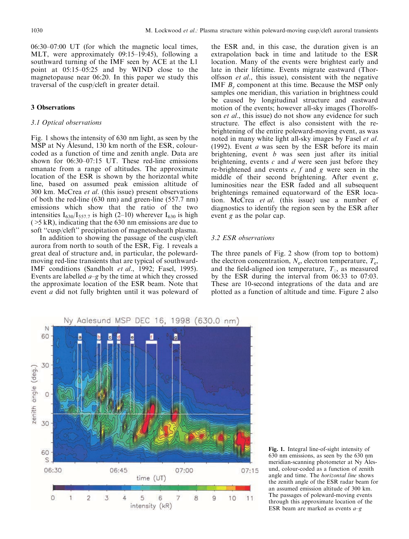$06:30-07:00$  UT (for which the magnetic local times, MLT, were approximately 09:15-19:45), following a southward turning of the IMF seen by ACE at the L1 point at 05:15–05:25 and by WIND close to the magnetopause near 06:20. In this paper we study this traversal of the cusp/cleft in greater detail.

#### **3 Observations**

# 3.1 Optical observations

Fig. 1 shows the intensity of 630 nm light, as seen by the MSP at Ny Alesund, 130 km north of the ESR, colourcoded as a function of time and zenith angle. Data are shown for 06:30-07:15 UT. These red-line emissions emanate from a range of altitudes. The approximate location of the ESR is shown by the horizontal white line, based on assumed peak emission altitude of 300 km. McCrea *et al.* (this issue) present observations of both the red-line  $(630 \text{ nm})$  and green-line  $(557.7 \text{ nm})$ emissions which show that the ratio of the two intensities  $I_{630}/I_{557.7}$  is high (2-10) wherever  $I_{630}$  is high  $($  >5 kR), indicating that the 630 nm emissions are due to soft "cusp/cleft" precipitation of magnetosheath plasma.

In addition to showing the passage of the cusp/cleft aurora from north to south of the ESR, Fig. 1 reveals a great deal of structure and, in particular, the polewardmoving red-line transients that are typical of southward-IMF conditions (Sandholt et al., 1992; Fasel, 1995). Events are labelled  $a-g$  by the time at which they crossed the approximate location of the ESR beam. Note that event *a* did not fully brighten until it was poleward of

the ESR and, in this case, the duration given is an extrapolation back in time and latitude to the ESR location. Many of the events were brightest early and late in their lifetime. Events migrate eastward (Thorolfsson et al., this issue), consistent with the negative IMF  $B<sub>v</sub>$  component at this time. Because the MSP only samples one meridian, this variation in brightness could be caused by longitudinal structure and eastward motion of the events; however all-sky images (Thorolfsson et al., this issue) do not show any evidence for such structure. The effect is also consistent with the rebrightening of the entire poleward-moving event, as was noted in many white light all-sky images by Fasel et al. (1992). Event  $a$  was seen by the ESR before its main brightening, event  $b$  was seen just after its initial brightening, events  $c$  and  $d$  were seen just before they re-brightened and events  $e$ ,  $f$  and  $g$  were seen in the middle of their second brightening. After event  $g$ , luminosities near the ESR faded and all subsequent brightenings remained equatorward of the ESR location. McCrea et al. (this issue) use a number of diagnostics to identify the region seen by the ESR after event  $g$  as the polar cap.

#### 3.2 ESR observations

The three panels of Fig. 2 show (from top to bottom) the electron concentration,  $N_e$ , electron temperature,  $T_e$ , and the field-aligned ion temperature,  $T_{\parallel}$ , as measured by the ESR during the interval from  $06:33$  to  $07:03$ . These are 10-second integrations of the data and are plotted as a function of altitude and time. Figure 2 also



Fig. 1. Integral line-of-sight intensity of 630 nm emissions, as seen by the 630 nm meridian-scanning photometer at Ny Ålesund, colour-coded as a function of zenith angle and time. The *horizontal line* shows the zenith angle of the ESR radar beam for an assumed emission altitude of 300 km. The passages of poleward-moving events through this approximate location of the ESR beam are marked as events  $a-q$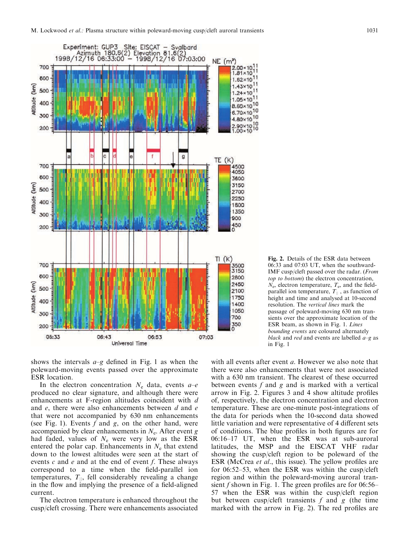



shows the intervals  $a-g$  defined in Fig. 1 as when the poleward-moving events passed over the approximate ESR location.

In the electron concentration  $N_e$  data, events  $a-e$ produced no clear signature, and although there were enhancements at F-region altitudes coincident with d and  $e$ , there were also enhancements between  $d$  and  $e$ that were not accompanied by 630 nm enhancements (see Fig. 1). Events  $f$  and  $g$ , on the other hand, were accompanied by clear enhancements in  $N_e$ . After event g had faded, values of  $N_e$  were very low as the ESR entered the polar cap. Enhancements in  $N_e$  that extend down to the lowest altitudes were seen at the start of events c and e and at the end of event f. These always correspond to a time when the field-parallel ion temperatures,  $T_{||}$ , fell considerably revealing a change in the flow and implying the presence of a field-aligned current.

The electron temperature is enhanced throughout the cusp/cleft crossing. There were enhancements associated

with all events after event  $a$ . However we also note that there were also enhancements that were not associated with a 630 nm transient. The clearest of these occurred between events  $f$  and  $g$  and is marked with a vertical arrow in Fig. 2. Figures 3 and 4 show altitude profiles of, respectively, the electron concentration and electron temperature. These are one-minute post-integrations of the data for periods when the 10-second data showed little variation and were representative of 4 different sets of conditions. The blue profiles in both figures are for 06:16-17 UT, when the ESR was at sub-auroral latitudes, the MSP and the EISCAT VHF radar showing the cusp/cleft region to be poleward of the ESR (McCrea et al., this issue). The yellow profiles are for  $06:52-53$ , when the ESR was within the cusp/cleft region and within the poleward-moving auroral transient  $f$  shown in Fig. 1. The green profiles are for 06:56-57 when the ESR was within the cusp/cleft region but between cusp/cleft transients  $f$  and  $g$  (the time marked with the arrow in Fig. 2). The red profiles are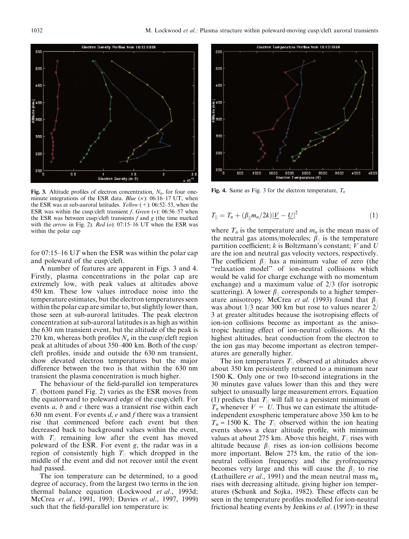

**Fig. 3.** Altitude profiles of electron concentration,  $N_e$ , for four oneminute integrations of the ESR data. Blue  $(x)$ : 06:16-17 UT, when the ESR was at sub-auroral latitudes. *Yellow*  $(+)$ : 06:52–53, when the ESR was within the cusp/cleft transient  $f$ . Green (\*): 06:56–57 when the ESR was between cusp/cleft transients  $f$  and  $g$  (the time marked with the *arrow* in Fig. 2). Red (o): 07:15-16 UT when the ESR was within the polar cap

for 07:15–16 UT when the ESR was within the polar cap and poleward of the cusp/cleft.

A number of features are apparent in Figs. 3 and 4. Firstly, plasma concentrations in the polar cap are extremely low, with peak values at altitudes above 450 km. These low values introduce noise into the temperature estimates, but the electron temperatures seen within the polar cap are similar to, but slightly lower than, those seen at sub-auroral latitudes. The peak electron concentration at sub-auroral latitudes is as high as within the 630 nm transient event, but the altitude of the peak is 270 km, whereas both profiles  $N_e$  in the cusp/cleft region peak at altitudes of about 350–400 km. Both of the cusp/ cleft profiles, inside and outside the 630 nm transient, show elevated electron temperatures but the major difference between the two is that within the 630 nm transient the plasma concentration is much higher.

The behaviour of the field-parallel ion temperatures  $T_{\parallel}$  (bottom panel Fig. 2) varies as the ESR moves from the equatorward to poleward edge of the cusp/cleft. For events  $a, b$  and  $c$  there was a transient rise within each 630 nm event. For events  $d$ ,  $e$  and  $f$  there was a transient rise that commenced before each event but then decreased back to background values within the event, with  $T_{\parallel}$  remaining low after the event has moved poleward of the ESR. For event  $g$ , the radar was in a region of consistently high  $T_{\parallel}$  which dropped in the middle of the event and did not recover until the event had passed.

The ion temperature can be determined, to a good degree of accuracy, from the largest two terms in the ion thermal balance equation (Lockwood *et al.*, 1993d; McCrea et al., 1991, 1993; Davies et al., 1997, 1999) such that the field-parallel ion temperature is:



Fig. 4. Same as Fig. 3 for the electron temperature,  $T_e$ 

$$
T_{\parallel} = T_n + (\beta_{\parallel} m_n / 2k) |\underline{V} - \underline{U}|^2 \tag{1}
$$

where  $T_n$  is the temperature and  $m_n$  is the mean mass of the neutral gas atoms/molecules;  $\beta_{\parallel}$  is the temperature partition coefficient;  $k$  is Boltzmann's constant;  $V$  and  $U$ are the ion and neutral gas velocity vectors, respectively. The coefficient  $\beta_{\parallel}$  has a minimum value of zero (the "relaxation model" of ion-neutral collisions which would be valid for charge exchange with no momentum exchange) and a maximum value of  $2/3$  (for isotropic scattering). A lower  $\beta_{\parallel}$  corresponds to a higher temperature anisotropy. McCrea *et al.* (1993) found that  $\beta_{\parallel}$ was about  $1/3$  near 300 km but rose to values nearer  $2/$ 3 at greater altitudes because the isotropising effects of ion-ion collisions become as important as the anisotropic heating effect of ion-neutral collisions. At the highest altitudes, heat conduction from the electron to the ion gas may become important as electron temperatures are generally higher.

The ion temperatures  $T_{\parallel}$  observed at altitudes above about 350 km persistently returned to a minimum near 1500 K. Only one or two 10-second integrations in the 30 minutes gave values lower than this and they were subject to unusually large measurement errors. Equation (1) predicts that  $T_{\parallel}$  will fall to a persistent minimum of  $T_n$  whenever  $V = U$ . Thus we can estimate the altitudeindependent exospheric temperature above 350 km to be  $T_n \approx 1500$  K. The  $T_{\parallel}$  observed within the ion heating events shows a clear altitude profile, with minimum values at about 275 km. Above this height,  $T_{\parallel}$  rises with altitude because  $\beta_{\parallel}$  rises as ion-ion collisions become more important. Below 275 km, the ratio of the ionneutral collision frequency and the gyrofrequency becomes very large and this will cause the  $\beta_{\parallel}$  to rise (Lathuillere *et al.*, 1991) and the mean neutral mass  $m_n$ rises with decreasing altitude, giving higher ion temperatures (Schunk and Sojka, 1982). These effects can be seen in the temperature profiles modelled for ion-neutral frictional heating events by Jenkins et al. (1997): in these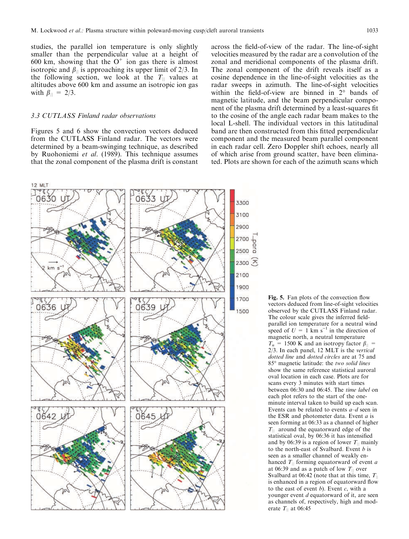studies, the parallel ion temperature is only slightly smaller than the perpendicular value at a height of 600 km, showing that the  $O^+$  ion gas there is almost isotropic and  $\beta_{\parallel}$  is approaching its upper limit of 2/3. In the following section, we look at the  $T_{\parallel}$  values at altitudes above 600 km and assume an isotropic ion gas with  $\beta_{\|} = 2/3$ .

## 3.3 CUTLASS Finland radar observations

Figures 5 and 6 show the convection vectors deduced from the CUTLASS Finland radar. The vectors were determined by a beam-swinging technique, as described by Ruohoniemi et al. (1989). This technique assumes that the zonal component of the plasma drift is constant

across the field-of-view of the radar. The line-of-sight velocities measured by the radar are a convolution of the zonal and meridional components of the plasma drift. The zonal component of the drift reveals itself as a cosine dependence in the line-of-sight velocities as the radar sweeps in azimuth. The line-of-sight velocities within the field-of-view are binned in  $2^{\circ}$  bands of magnetic latitude, and the beam perpendicular component of the plasma drift determined by a least-squares fit to the cosine of the angle each radar beam makes to the local L-shell. The individual vectors in this latitudinal band are then constructed from this fitted perpendicular component and the measured beam parallel component in each radar cell. Zero Doppler shift echoes, nearly all of which arise from ground scatter, have been eliminated. Plots are shown for each of the azimuth scans which



Fig. 5. Fan plots of the convection flow vectors deduced from line-of-sight velocities observed by the CUTLASS Finland radar. The colour scale gives the inferred fieldparallel ion temperature for a neutral wind speed of  $U = 1$  km s<sup>-1</sup> in the direction of magnetic north, a neutral temperature  $T_n = 1500$  K and an isotropy factor  $\beta_{\parallel}$  =  $2/3$ . In each panel, 12 MLT is the vertical dotted line and dotted circles are at 75 and 85° magnetic latitude: the two solid lines show the same reference statistical auroral oval location in each case. Plots are for scans every 3 minutes with start times between 06:30 and 06:45. The time label on each plot refers to the start of the oneminute interval taken to build up each scan. Events can be related to events  $a-d$  seen in the ESR and photometer data. Event  $a$  is seen forming at 06:33 as a channel of higher  $T_{\parallel}$  around the equatorward edge of the statistical oval, by 06:36 it has intensified and by 06:39 is a region of lower  $T_{\parallel}$  mainly to the north-east of Svalbard. Event  $b$  is seen as a smaller channel of weakly enhanced  $T_{\parallel}$  forming equatorward of event a at 06:39 and as a patch of low  $T_{\parallel}$  over Svalbard at 06:42 (note that at this time,  $T_{\parallel}$ is enhanced in a region of equatorward flow to the east of event  $b$ ). Event  $c$ , with a younger event d equatorward of it, are seen as channels of, respectively, high and moderate  $T_{\parallel}$  at 06:45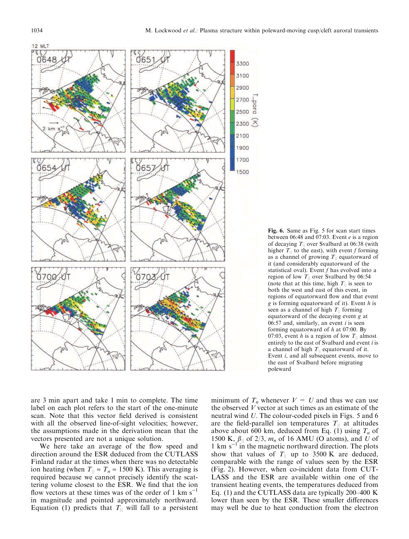



are 3 min apart and take 1 min to complete. The time label on each plot refers to the start of the one-minute scan. Note that this vector field derived is consistent with all the observed line-of-sight velocities; however, the assumptions made in the derivation mean that the vectors presented are not a unique solution.

We here take an average of the flow speed and direction around the ESR deduced from the CUTLASS Finland radar at the times when there was no detectable ion heating (when  $T_{\parallel} \approx T_n \approx 1500$  K). This averaging is required because we cannot precisely identify the scattering volume closest to the ESR. We find that the ion flow vectors at these times was of the order of 1 km  $s^{-1}$ in magnitude and pointed approximately northward. Equation (1) predicts that  $T_{\parallel}$  will fall to a persistent

minimum of  $T_n$  whenever  $V = U$  and thus we can use the observed  $V$  vector at such times as an estimate of the neutral wind U. The colour-coded pixels in Figs. 5 and 6 are the field-parallel ion temperatures  $T_{\parallel}$  at altitudes above about 600 km, deduced from Eq. (1) using  $T_n$  of 1500 K,  $\beta_{\parallel}$  of 2/3,  $m_n$  of 16 AMU (O atoms), and U of 1 km  $s^{-1}$  in the magnetic northward direction. The plots show that values of  $T_{\parallel}$  up to 3500 K are deduced, comparable with the range of values seen by the ESR (Fig. 2). However, when co-incident data from CUT-LASS and the ESR are available within one of the transient heating events, the temperatures deduced from Eq. (1) and the CUTLASS data are typically 200-400 K lower than seen by the ESR. These smaller differences may well be due to heat conduction from the electron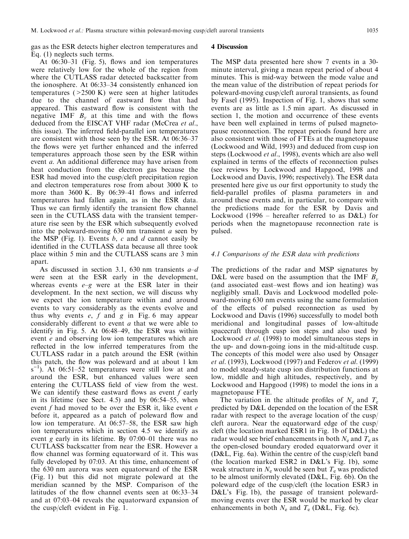gas as the ESR detects higher electron temperatures and Eq.  $(1)$  neglects such terms.

At  $06:30-31$  (Fig. 5), flows and ion temperatures were relatively low for the whole of the region from where the CUTLASS radar detected backscatter from the ionosphere. At 06:33–34 consistently enhanced ion temperatures  $($  > 2500 K) were seen at higher latitudes due to the channel of eastward flow that had appeared. This eastward flow is consistent with the negative IMF  $B_v$  at this time and with the flows deduced from the EISCAT VHF radar (McCrea et al., this issue). The inferred field-parallel ion temperatures are consistent with those seen by the ESR. At 06:36–37 the flows were yet further enhanced and the inferred temperatures approach those seen by the ESR within event *a*. An additional difference may have arisen from heat conduction from the electron gas because the ESR had moved into the cusp/cleft precipitation region and electron temperatures rose from about 3000 K to more than 3600 K. By 06:39-41 flows and inferred temperatures had fallen again, as in the ESR data. Thus we can firmly identify the transient flow channel seen in the CUTLASS data with the transient temperature rise seen by the ESR which subsequently evolved into the poleward-moving  $630$  nm transient *a* seen by the MSP (Fig. 1). Events  $b$ ,  $c$  and  $d$  cannot easily be identified in the CUTLASS data because all three took place within 5 min and the CUTLASS scans are 3 min apart.

As discussed in section 3.1, 630 nm transients  $a-d$ were seen at the ESR early in the development, whereas events  $e-g$  were at the ESR later in their development. In the next section, we will discuss why we expect the ion temperature within and around events to vary considerably as the events evolve and thus why events  $e$ ,  $f$  and  $g$  in Fig. 6 may appear considerably different to event  $a$  that we were able to identify in Fig. 5. At 06:48-49, the ESR was within event e and observing low ion temperatures which are reflected in the low inferred temperatures from the CUTLASS radar in a patch around the ESR (within this patch, the flow was poleward and at about 1 km  $s^{-1}$ ). At 06:51–52 temperatures were still low at and around the ESR, but enhanced values were seen entering the CUTLASS field of view from the west. We can identify these eastward flows as event  $f$  early in its lifetime (see Sect. 4.5) and by  $06:54-55$ , when event f had moved to be over the ESR it, like event  $e$ before it, appeared as a patch of poleward flow and low ion temperature. At 06:57–58, the ESR saw high ion temperatures which in section 4.5 we identify as event g early in its lifetime. By  $07:00-01$  there was no CUTLASS backscatter from near the ESR. However a flow channel was forming equatorward of it. This was fully developed by 07:03. At this time, enhancement of the 630 nm aurora was seen equatorward of the ESR (Fig. 1) but this did not migrate poleward at the meridian scanned by the MSP. Comparison of the latitudes of the flow channel events seen at 06:33-34 and at  $07:03-04$  reveals the equatorward expansion of the cusp/cleft evident in Fig. 1.

#### **4 Discussion**

The MSP data presented here show 7 events in a 30minute interval, giving a mean repeat period of about 4 minutes. This is mid-way between the mode value and the mean value of the distribution of repeat periods for poleward-moving cusp/cleft auroral transients, as found by Fasel (1995). Inspection of Fig. 1, shows that some events are as little as 1.5 min apart. As discussed in section 1, the motion and occurrence of these events have been well explained in terms of pulsed magnetopause reconnection. The repeat periods found here are also consistent with those of FTEs at the magnetopause (Lockwood and Wild, 1993) and deduced from cusp ion steps (Lockwood et al., 1998), events which are also well explained in terms of the effects of reconnection pulses (see reviews by Lockwood and Hapgood, 1998 and Lockwood and Davis, 1996; respectively). The ESR data presented here give us our first opportunity to study the field-parallel profiles of plasma parameters in and around these events and, in particular, to compare with the predictions made for the ESR by Davis and Lockwood (1996 – hereafter referred to as  $D&L$ ) for periods when the magnetopause reconnection rate is pulsed.

#### 4.1 Comparisons of the ESR data with predictions

The predictions of the radar and MSP signatures by D&L were based on the assumption that the IMF  $B_v$ (and associated east-west flows and ion heating) was negligibly small. Davis and Lockwood modelled poleward-moving 630 nm events using the same formulation of the effects of pulsed reconnection as used by Lockwood and Davis (1996) successfully to model both meridional and longitudinal passes of low-altitude spacecraft through cusp ion steps and also used by Lockwood *et al.* (1998) to model simultaneous steps in the up- and down-going ions in the mid-altitude cusp. The concepts of this model were also used by Onsager *et al.* (1993), Lockwood (1997) and Federov *et al.* (1999) to model steady-state cusp ion distribution functions at low, middle and high altitudes, respectively, and by Lockwood and Hapgood (1998) to model the ions in a magnetopause FTE.

The variation in the altitude profiles of  $N_e$  and  $T_e$ predicted by D&L depended on the location of the ESR radar with respect to the average location of the cusp/ cleft aurora. Near the equatorward edge of the cusp cleft (the location marked ESR1 in Fig. 1b of D&L) the radar would see brief enhancements in both  $N_e$  and  $T_e$  as the open-closed boundary eroded equatorward over it  $(D&L, Fig. 6a)$ . Within the centre of the cusp/cleft band (the location marked ESR2 in D&L's Fig. 1b), some weak structure in  $N_e$  would be seen but  $T_e$  was predicted to be almost uniformly elevated (D&L, Fig. 6b). On the poleward edge of the cusp/cleft (the location ESR3 in D&L's Fig. 1b), the passage of transient polewardmoving events over the ESR would be marked by clear enhancements in both  $N_e$  and  $T_e$  (D&L, Fig. 6c).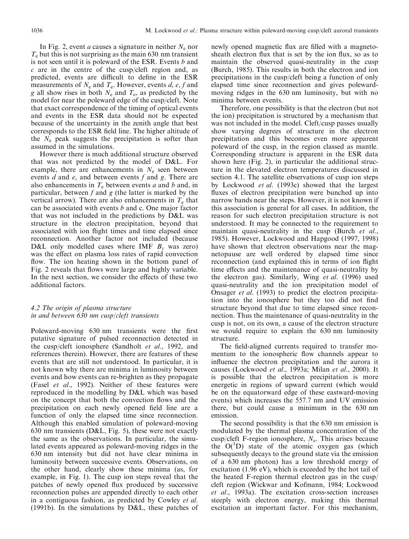In Fig. 2, event *a* causes a signature in neither  $N_e$  nor  $T<sub>e</sub>$  but this is not surprising as the main 630 nm transient is not seen until it is poleward of the ESR. Events b and c are in the centre of the cusp/cleft region and, as predicted, events are difficult to define in the ESR measurements of  $N_e$  and  $T_e$ . However, events d, e, f and g all show rises in both  $N_e$  and  $T_e$ , as predicted by the model for near the poleward edge of the cusp/cleft. Note that exact correspondence of the timing of optical events and events in the ESR data should not be expected because of the uncertainty in the zenith angle that best corresponds to the ESR field line. The higher altitude of the  $N_e$  peak suggests the precipitation is softer than assumed in the simulations.

However there is much additional structure observed that was not predicted by the model of D&L. For example, there are enhancements in  $N_e$  seen between events  $d$  and  $e$ , and between events  $f$  and  $g$ . There are also enhancements in  $T_e$  between events a and b and, in particular, between  $f$  and  $g$  (the latter is marked by the vertical arrow). There are also enhancements in  $T_e$  that can be associated with events  $b$  and c. One major factor that was not included in the predictions by D&L was structure in the electron precipitation, beyond that associated with ion flight times and time elapsed since reconnection. Another factor not included (because D&L only modelled cases where IMF  $B_v$  was zero) was the effect on plasma loss rates of rapid convection flow. The ion heating shown in the bottom panel of Fig. 2 reveals that flows were large and highly variable. In the next section, we consider the effects of these two additional factors.

# 4.2 The origin of plasma structure in and between 630 nm cusp/cleft transients

Poleward-moving 630 nm transients were the first putative signature of pulsed reconnection detected in the cusp/cleft ionosphere (Sandholt *et al.*, 1992, and references therein). However, there are features of these events that are still not understood. In particular, it is not known why there are minima in luminosity between events and how events can re-brighten as they propagate (Fasel et al., 1992). Neither of these features were reproduced in the modelling by D&L which was based on the concept that both the convection flows and the precipitation on each newly opened field line are a function of only the elapsed time since reconnection. Although this enabled simulation of poleward-moving 630 nm transients (D&L, Fig. 5), these were not exactly the same as the observations. In particular, the simulated events appeared as poleward-moving ridges in the 630 nm intensity but did not have clear minima in luminosity between successive events. Observations, on the other hand, clearly show these minima (as, for example, in Fig. 1). The cusp ion steps reveal that the patches of newly opened flux produced by successive reconnection pulses are appended directly to each other in a contiguous fashion, as predicted by Cowley et al. (1991b). In the simulations by  $D&L$ , these patches of newly opened magnetic flux are filled with a magnetosheath electron flux that is set by the ion flux, so as to maintain the observed quasi-neutrality in the cusp (Burch, 1985). This results in both the electron and ion precipitations in the cusp/cleft being a function of only elapsed time since reconnection and gives polewardmoving ridges in the 630 nm luminosity, but with no minima between events.

Therefore, one possibility is that the electron (but not the ion) precipitation is structured by a mechanism that was not included in the model. Cleft/cusp passes usually show varying degrees of structure in the electron precipitation and this becomes even more apparent poleward of the cusp, in the region classed as mantle. Corresponding structure is apparent in the ESR data shown here (Fig. 2), in particular the additional structure in the elevated electron temperatures discussed in section 4.1. The satellite observations of cusp ion steps by Lockwood et al. (1993c) showed that the largest fluxes of electron precipitation were bunched up into narrow bands near the steps. However, it is not known if this association is general for all cases. In addition, the reason for such electron precipitation structure is not understood. It may be connected to the requirement to maintain quasi-neutrality in the cusp (Burch et al., 1985). However, Lockwood and Hapgood (1997, 1998). have shown that electron observations near the magnetopause are well ordered by elapsed time since reconnection (and explained this in terms of ion flight time effects and the maintenance of quasi-neutrality by the electron gas). Similarly, Wing et al. (1996) used quasi-neutrality and the ion precipitation model of Onsager *et al.* (1993) to predict the electron precipitation into the ionosphere but they too did not find structure beyond that due to time elapsed since reconnection. Thus the maintenance of quasi-neutrality in the cusp is not, on its own, a cause of the electron structure we would require to explain the 630 nm luminosity structure.

The field-aligned currents required to transfer momentum to the ionospheric flow channels appear to influence the electron precipitation and the aurora it causes (Lockwood et al., 1993a; Milan et al., 2000). It is possible that the electron precipitation is more energetic in regions of upward current (which would be on the equatorward edge of these eastward-moving events) which increases the 557.7 nm and UV emission there, but could cause a minimum in the 630 nm emission.

The second possibility is that the 630 nm emission is modulated by the thermal plasma concentration of the cusp/cleft F-region ionosphere,  $N_e$ . This arises because the O('D) state of the atomic oxygen gas (which subsequently decays to the ground state via the emission of a 630 nm photon) has a low threshold energy of excitation (1.96 eV), which is exceeded by the hot tail of the heated F-region thermal electron gas in the cusp/ cleft region (Wickwar and Kofmann, 1984; Lockwood et al., 1993a). The excitation cross-section increases steeply with electron energy, making this thermal excitation an important factor. For this mechanism,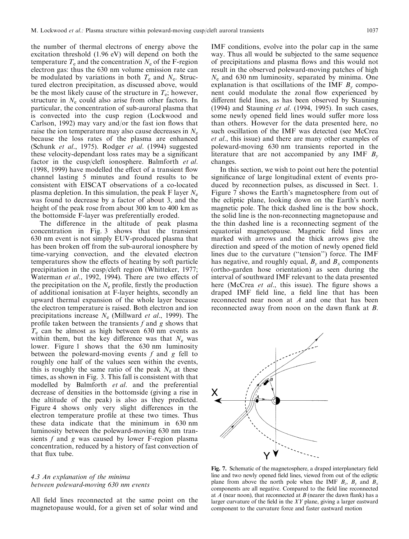the number of thermal electrons of energy above the excitation threshold (1.96 eV) will depend on both the temperature  $T_e$  and the concentration  $N_e$  of the F-region electron gas: thus the 630 nm volume emission rate can be modulated by variations in both  $T_e$  and  $N_e$ . Structured electron precipitation, as discussed above, would be the most likely cause of the structure in  $T_e$ ; however, structure in  $N_e$  could also arise from other factors. In particular, the concentration of sub-auroral plasma that is convected into the cusp region (Lockwood and Carlson, 1992) may vary and/or the fast ion flows that raise the ion temperature may also cause decreases in  $N_e$ because the loss rates of the plasma are enhanced (Schunk et al., 1975). Rodger et al. (1994) suggested these velocity-dependant loss rates may be a significant factor in the cusp/cleft ionosphere. Balmforth et al. (1998, 1999) have modelled the effect of a transient flow channel lasting 5 minutes and found results to be consistent with EISCAT observations of a co-located plasma depletion. In this simulation, the peak F layer  $N_e$ was found to decrease by a factor of about 3, and the height of the peak rose from about 300 km to 400 km as the bottomside F-layer was preferentially eroded.

The difference in the altitude of peak plasma concentration in Fig. 3 shows that the transient 630 nm event is not simply EUV-produced plasma that has been broken off from the sub-auroral ionosphere by time-varying convection, and the elevated electron temperatures show the effects of heating by soft particle precipitation in the cusp/cleft region (Whitteker, 1977; Waterman et al., 1992, 1994). There are two effects of the precipitation on the  $N_e$  profile, firstly the production of additional ionisation at F-layer heights, secondly an upward thermal expansion of the whole layer because the electron temperature is raised. Both electron and ion precipitations increase  $N_e$  (Millward *et al.*, 1999). The profile taken between the transients  $f$  and  $g$  shows that  $T_e$  can be almost as high between 630 nm events as within them, but the key difference was that  $N_e$  was lower. Figure 1 shows that the 630 nm luminosity between the poleward-moving events  $f$  and  $g$  fell to roughly one half of the values seen within the events, this is roughly the same ratio of the peak  $N_e$  at these times, as shown in Fig. 3. This fall is consistent with that modelled by Balmforth et al. and the preferential decrease of densities in the bottomside (giving a rise in the altitude of the peak) is also as they predicted. Figure 4 shows only very slight differences in the electron temperature profile at these two times. Thus these data indicate that the minimum in 630 nm luminosity between the poleward-moving 630 nm transients f and g was caused by lower F-region plasma concentration, reduced by a history of fast convection of that flux tube.

## 4.3 An explanation of the minima between poleward-moving 630 nm events

All field lines reconnected at the same point on the magnetopause would, for a given set of solar wind and

IMF conditions, evolve into the polar cap in the same way. Thus all would be subjected to the same sequence of precipitations and plasma flows and this would not result in the observed poleward-moving patches of high  $N_e$  and 630 nm luminosity, separated by minima. One explanation is that oscillations of the IMF  $B_v$  component could modulate the zonal flow experienced by different field lines, as has been observed by Stauning (1994) and Stauning et al. (1994, 1995). In such cases, some newly opened field lines would suffer more loss than others. However for the data presented here, no such oscillation of the IMF was detected (see McCrea et al., this issue) and there are many other examples of poleward-moving 630 nm transients reported in the literature that are not accompanied by any IMF  $B_v$ changes.

In this section, we wish to point out here the potential significance of large longitudinal extent of events produced by reconnection pulses, as discussed in Sect. 1. Figure 7 shows the Earth's magnetosphere from out of the ecliptic plane, looking down on the Earth's north magnetic pole. The thick dashed line is the bow shock, the solid line is the non-reconnecting magnetopause and the thin dashed line is a reconnecting segment of the equatorial magnetopause. Magnetic field lines are marked with arrows and the thick arrows give the direction and speed of the motion of newly opened field lines due to the curvature ("tension") force. The IMF has negative, and roughly equal,  $B_v$  and  $B_x$  components (ortho-garden hose orientation) as seen during the interval of southward IMF relevant to the data presented here (McCrea *et al.*, this issue). The figure shows a draped IMF field line, a field line that has been reconnected near noon at A and one that has been reconnected away from noon on the dawn flank at  $B$ .



Fig. 7. Schematic of the magnetosphere, a draped interplanetary field line and two newly opened field lines, viewed from out of the ecliptic plane from above the north pole when the IMF  $B_z$ ,  $B_y$  and  $B_x$ components are all negative. Compared to the field line reconnected at  $A$  (near noon), that reconnected at  $B$  (nearer the dawn flank) has a larger curvature of the field in the  $XY$  plane, giving a larger eastward component to the curvature force and faster eastward motion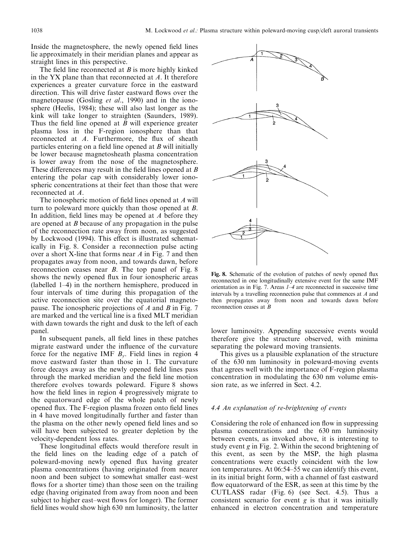Inside the magnetosphere, the newly opened field lines lie approximately in their meridian planes and appear as straight lines in this perspective.

The field line reconnected at  $B$  is more highly kinked in the YX plane than that reconnected at  $A$ . It therefore experiences a greater curvature force in the eastward direction. This will drive faster eastward flows over the magnetopause (Gosling et al., 1990) and in the ionosphere (Heelis, 1984); these will also last longer as the kink will take longer to straighten (Saunders, 1989). Thus the field line opened at  $B$  will experience greater plasma loss in the F-region ionosphere than that reconnected at A. Furthermore, the flux of sheath particles entering on a field line opened at  $B$  will initially be lower because magnetosheath plasma concentration is lower away from the nose of the magnetosphere. These differences may result in the field lines opened at  $B$ entering the polar cap with considerably lower ionospheric concentrations at their feet than those that were reconnected at A.

The ionospheric motion of field lines opened at A will turn to poleward more quickly than those opened at  $B$ . In addition, field lines may be opened at  $A$  before they are opened at  $B$  because of any propagation in the pulse of the reconnection rate away from noon, as suggested by Lockwood (1994). This effect is illustrated schematically in Fig. 8. Consider a reconnection pulse acting over a short X-line that forms near  $\vec{A}$  in Fig. 7 and then propagates away from noon, and towards dawn, before reconnection ceases near  $B$ . The top panel of Fig. 8 shows the newly opened flux in four ionospheric areas (labelled  $1-4$ ) in the northern hemisphere, produced in four intervals of time during this propagation of the active reconnection site over the equatorial magnetopause. The ionospheric projections of  $A$  and  $B$  in Fig. 7 are marked and the vertical line is a fixed MLT meridian with dawn towards the right and dusk to the left of each panel.

In subsequent panels, all field lines in these patches migrate eastward under the influence of the curvature force for the negative IMF  $B_{v}$ . Field lines in region 4 move eastward faster than those in 1. The curvature force decays away as the newly opened field lines pass through the marked meridian and the field line motion therefore evolves towards poleward. Figure 8 shows how the field lines in region 4 progressively migrate to the equatorward edge of the whole patch of newly opened flux. The F-region plasma frozen onto field lines in 4 have moved longitudinally further and faster than the plasma on the other newly opened field lines and so will have been subjected to greater depletion by the velocity-dependent loss rates.

These longitudinal effects would therefore result in the field lines on the leading edge of a patch of poleward-moving newly opened flux having greater plasma concentrations (having originated from nearer noon and been subject to somewhat smaller east-west flows for a shorter time) than those seen on the trailing edge (having originated from away from noon and been subject to higher east-west flows for longer). The former field lines would show high 630 nm luminosity, the latter



Fig. 8. Schematic of the evolution of patches of newly opened flux reconnected in one longitudinally extensive event for the same IMF orientation as in Fig. 7. Areas  $1-4$  are reconnected in successive time intervals by a travelling reconnection pulse that commences at  $A$  and then propagates away from noon and towards dawn before reconnection ceases at  $B$ 

lower luminosity. Appending successive events would therefore give the structure observed, with minima separating the poleward moving transients.

This gives us a plausible explanation of the structure of the 630 nm luminosity in poleward-moving events that agrees well with the importance of F-region plasma concentration in modulating the 630 nm volume emission rate, as we inferred in Sect. 4.2.

#### 4.4 An explanation of re-brightening of events

Considering the role of enhanced ion flow in suppressing plasma concentrations and the 630 nm luminosity between events, as invoked above, it is interesting to study event  $g$  in Fig. 2. Within the second brightening of this event, as seen by the MSP, the high plasma concentrations were exactly coincident with the low ion temperatures. At 06:54–55 we can identify this event, in its initial bright form, with a channel of fast eastward flow equatorward of the ESR, as seen at this time by the CUTLASS radar (Fig. 6) (see Sect. 4.5). Thus a consistent scenario for event  $g$  is that it was initially enhanced in electron concentration and temperature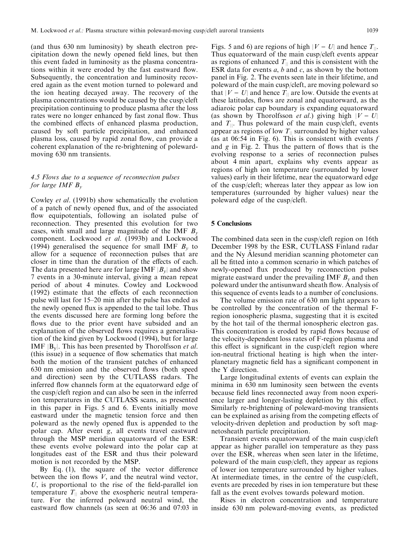(and thus 630 nm luminosity) by sheath electron precipitation down the newly opened field lines, but then this event faded in luminosity as the plasma concentrations within it were eroded by the fast eastward flow. Subsequently, the concentration and luminosity recovered again as the event motion turned to poleward and the ion heating decayed away. The recovery of the plasma concentrations would be caused by the cusp/cleft precipitation continuing to produce plasma after the loss rates were no longer enhanced by fast zonal flow. Thus the combined effects of enhanced plasma production, caused by soft particle precipitation, and enhanced plasma loss, caused by rapid zonal flow, can provide a coherent explanation of the re-brightening of polewardmoving 630 nm transients.

# 4.5 Flows due to a sequence of reconnection pulses for large IMF  $B_v$

Cowley et al. (1991b) show schematically the evolution of a patch of newly opened flux, and of the associated flow equipotentials, following an isolated pulse of reconnection. They presented this evolution for two cases, with small and large magnitude of the IMF  $B_v$ component. Lockwood et al. (1993b) and Lockwood (1994) generalised the sequence for small IMF  $B_v$  to allow for a sequence of reconnection pulses that are closer in time than the duration of the effects of each. The data presented here are for large IMF  $|B_v|$  and show 7 events in a 30-minute interval, giving a mean repeat period of about 4 minutes. Cowley and Lockwood (1992) estimate that the effects of each reconnection pulse will last for 15–20 min after the pulse has ended as the newly opened flux is appended to the tail lobe. Thus the events discussed here are forming long before the flows due to the prior event have subsided and an explanation of the observed flows requires a generalisation of the kind given by Lockwood (1994), but for large IMF  $|B_v|$ . This has been presented by Thorolfsson *et al.* (this issue) in a sequence of flow schematics that match both the motion of the transient patches of enhanced 630 nm emission and the observed flows (both speed and direction) seen by the CUTLASS radars. The inferred flow channels form at the equatorward edge of the cusp/cleft region and can also be seen in the inferred ion temperatures in the CUTLASS scans, as presented in this paper in Figs. 5 and 6. Events initially move eastward under the magnetic tension force and then poleward as the newly opened flux is appended to the polar cap. After event g, all events travel eastward through the MSP meridian equatorward of the ESR: these events evolve poleward into the polar cap at longitudes east of the ESR and thus their poleward motion is not recorded by the MSP.

By Eq.  $(1)$ , the square of the vector difference between the ion flows  $V$ , and the neutral wind vector, U, is proportional to the rise of the field-parallel ion temperature  $T_{\parallel}$  above the exospheric neutral temperature. For the inferred poleward neutral wind, the eastward flow channels (as seen at 06:36 and 07:03 in

Figs. 5 and 6) are regions of high  $|V - U|$  and hence  $T_{||}$ . Thus equatorward of the main cusp/cleft events appear as regions of enhanced  $T_{\parallel}$  and this is consistent with the ESR data for events  $a, b$  and  $c$ , as shown by the bottom panel in Fig. 2. The events seen late in their lifetime, and poleward of the main cusp/cleft, are moving poleward so that  $|V - U|$  and hence  $T_{\parallel}$  are low. Outside the events at these latitudes, flows are zonal and equatorward, as the adiaroic polar cap boundary is expanding equatorward (as shown by Thorolfsson *et al.*) giving high  $|V - U|$ and  $T_{\parallel}$ . Thus poleward of the main cusp/cleft, events appear as regions of low  $T_{\parallel}$  surrounded by higher values (as at 06:54 in Fig. 6). This is consistent with events  $f$ and  $g$  in Fig. 2. Thus the pattern of flows that is the evolving response to a series of reconnection pulses about 4 min apart, explains why events appear as regions of high ion temperature (surrounded by lower values) early in their lifetime, near the equatorward edge of the cusp/cleft; whereas later they appear as low ion temperatures (surrounded by higher values) near the poleward edge of the cusp/cleft.

#### **5 Conclusions**

The combined data seen in the cusp/cleft region on 16th December 1998 by the ESR, CUTLASS Finland radar and the Ny Alesund meridian scanning photometer can all be fitted into a common scenario in which patches of newly-opened flux produced by reconnection pulses migrate eastward under the prevailing IMF  $B<sub>v</sub>$  and then poleward under the antisunward sheath flow. Analysis of this sequence of events leads to a number of conclusions.

The volume emission rate of 630 nm light appears to be controlled by the concentration of the thermal Fregion ionospheric plasma, suggesting that it is excited by the hot tail of the thermal ionospheric electron gas. This concentration is eroded by rapid flows because of the velocity-dependent loss rates of F-region plasma and this effect is significant in the cusp/cleft region where ion-neutral frictional heating is high when the interplanetary magnetic field has a significant component in the Y direction.

Large longitudinal extents of events can explain the minima in 630 nm luminosity seen between the events because field lines reconnected away from noon experience larger and longer-lasting depletion by this effect. Similarly re-brightening of poleward-moving transients can be explained as arising from the competing effects of velocity-driven depletion and production by soft magnetosheath particle precipitation.

Transient events equatorward of the main cusp/cleft appear as higher parallel ion temperature as they pass over the ESR, whereas when seen later in the lifetime, poleward of the main cusp/cleft, they appear as regions of lower ion temperature surrounded by higher values. At intermediate times, in the centre of the cusp/cleft, events are preceded by rises in ion temperature but these fall as the event evolves towards poleward motion.

Rises in electron concentration and temperature inside 630 nm poleward-moving events, as predicted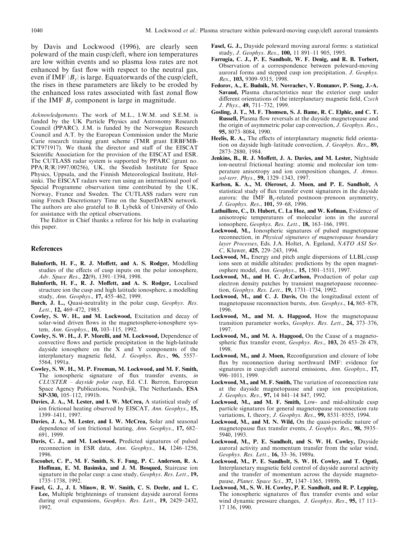by Davis and Lockwood (1996), are clearly seen poleward of the main cusp/cleft, where ion temperatures are low within events and so plasma loss rates are not enhanced by fast flow with respect to the neutral gas, even if IMF  $|B_{\nu}|$  is large. Equatorwards of the cusp/cleft, the rises in these parameters are likely to be eroded by the enhanced loss rates associated with fast zonal flow if the IMF  $B_v$  component is large in magnitude.

Acknowledgements. The work of M.L., I.W.M. and S.E.M. is funded by the UK Particle Physics and Astronomy Research Council (PPARC). J.M. is funded by the Norwegian Research Council and A.T. by the European Commission under the Marie Curie research training grant scheme (TMR grant ERBFMB-ICT971917). We thank the director and staff of the EISCAT Scientific Association for the provision of the EISCAT and ESR. The CUTLASS radar system is supported by PPARC (grant no. PPA/R/R/1997/00256), UK, the Swedish Institute for Space Physics, Uppsala, and the Finnish Meteorological Institute, Helsinki. The EISCAT radars were run using an international pool of Special Programme observation time contributed by the UK, Norway, France and Sweden. The CUTLASS radars were run using French Discretionary Time on the SuperDARN network. The authors are also grateful to B. Lybekk of University of Oslo for assistance with the optical observations.

The Editor in Chief thanks a referee for his help in evaluating this paper.

#### **References**

- Balmforth, H. F., R. J. Moffett, and A. S. Rodger, Modelling studies of the effects of cusp inputs on the polar ionosphere, Adv. Space Res., 22(9), 1391-1394, 1998.
- Balmforth, H. F., R. J. Moffett, and A. S. Rodger, Localised structure ion the cusp and high latitude ionosphere, a modelling study, Ann. Geophys., 17, 455-462, 1999.
- Burch, J. L., Quasi-neutrality in the polar cusp, Geophys. Res. Lett., 12, 469-472, 1985.
- Cowley, S. W. H., and M. Lockwood, Excitation and decay of solar-wind driven flows in the magnetosphere-ionosphere system, Ann. Geophys., 10, 103-115, 1992.
- Cowley, S. W. H., J. P. Morelli, and M. Lockwood, Dependence of convective flows and particle precipitation in the high-latitude dayside ionosphere on the X and Y components of the interplanetary magnetic field, J. Geophys. Res., 96, 5557-5564, 1991a.
- Cowley, S. W. H., M. P. Freeman, M. Lockwood, and M. F. Smith, The ionospheric signature of flux transfer events, in CLUSTER - dayside polar cusp, Ed. C.I. Barron, European Space Agency Publications, Nordvijk, The Netherlands, ESA SP-330, 105-112, 1991b.
- Davies, J. A., M. Lester, and I. W. McCrea, A statistical study of ion frictional heating observed by EISCAT, Ann. Geophys., 15, 1399-1411, 1997.
- Davies, J. A., M. Lester, and I. W. McCrea, Solar and seasonal dependence of ion frictional heating, Ann. Geophys., 17, 682– 691, 1999.
- Davis, C. J., and M. Lockwood, Predicted signatures of pulsed reconnection in ESR data, Ann. Geophys., 14, 1246-1256, 1996.
- Escoubet, C. P., M. F. Smith, S. F. Fung, P. C. Anderson, R. A. Hoffman, E. M. Basinska, and J. M. Bosqued, Staircase ion signature in the polar cusp: a case study, *Geophys. Res. Lett.*, 19, 1735-1738, 1992.
- Fasel, G. J., J. I. Minow, R. W. Smith, C. S. Deehr, and L. C. Lee, Multiple brightenings of transient dayside auroral forms during oval expansions, Geophys. Res. Lett., 19, 2429-2432, 1992.
- Fasel, G. J., Dayside poleward moving auroral forms: a statistical study, J. Geophys. Res., 100, 11 891-11 905, 1995.
- Farrugia, C. J., P. E. Sandholt, W. F. Denig, and R. B. Torbert, Observation of a correspondence between poleward-moving auroral forms and stepped cusp ion precipitation, J. Geophys. Res., 103, 9309-9315, 1998.
- Fedorov, A., E. Budnik, M. Novrachev, V. Romanov, P. Song, J.-A. Savaud, Plasma characteristics near the exterior cusp under different orientations of the interplanetary magnetic field, Czech J. Phys., 49, 711-732, 1999.
- Gosling, J. T., M. F. Thomsen, S. J. Bame, R. C. Elphic, and C. T. Russell, Plasma flow reversals at the dayside magnetopause and the origin of asymmetric polar cap convection, J. Geophys. Res., 95, 8073-8084, 1990.
- Heelis, R. A., The effects of interplanetary magnetic field orientation on dayside high-latitude convection, J. Geophys. Res., 89, 2873-2880, 1984.
- Jenkins, B., R. J. Moffett, J. A. Davies, and M. Lester, Nightside ion-neutral frictional heating: atomic and molecular ion temperature anisotropy and ion composition changes, J. Atmos. sol-terr. Phys., 59, 1329-1343, 1997.
- Karlson, K. A., M. Øieroset, J. Moen, and P. E. Sandholt, A statistical study of flux transfer event signatures in the dayside aurora: the IMF B<sub>v</sub>-related postnoon-prenoon asymmetry, J. Geophys. Res., 101, 59-68, 1996.
- Lathuillere, C., D. Hubert, C. La Hoz, and W. Kofman, Evidence of anisotropic temperatures of molecular ions in the auroral ionsophere, Geophys. Res. Lett., 18, 163-166, 1991.
- Lockwood, M., Ionospheric signatures of pulsed magnetopause reconnection, in *Physical signatures of magnetopause boundary* layer Processes, Eds. J.A. Holtet, A. Egeland, NATO ASI Ser. C, Kluwer, 425, 229-243, 1994.
- Lockwood, M., Energy and pitch angle dispersions of LLBL/cusp ions seen at middle altitudes: predictions by the open magnetosphere model, Ann. Geophys., 15, 1501-1511, 1997.
- Lockwood, M., and H. C. Jr.Carlson, Production of polar cap electron density patches by transient magnetopause reconnection, Geophys. Res. Lett., 19, 1731-1734, 1992.
- Lockwood, M., and C. J. Davis, On the longitudinal extent of magnetopause reconnection bursts, Ann. Geophys., 14, 865-878, 1996
- Lockwood, M., and M. A. Hapgood, How the magnetopause transition parameter works, Geophys. Res. Lett., 24, 373-376, 1997.
- Lockwood, M., and M. A. Hapgood, On the Cause of a magnetospheric flux transfer event, Geophys. Res., 103, 26 453-26 478, 1998.
- Lockwood, M., and J. Moen, Reconfiguration and closure of lobe flux by reconnection during northward IMF: evidence for signatures in cusp/cleft auroral emissions, Ann. Geophys., 17, 996-1011, 1999.
- Lockwood, M., and M. F. Smith, The variation of reconnection rate at the dayside magnetopause and cusp ion precipitation, J. Geophys. Res., 97, 14 841-14 847, 1992.
- Lockwood, M., and M. F. Smith, Low- and mid-altitude cusp particle signatures for general magnetopause reconnection rate variations, I, theory, J. Geophys. Res., 99, 8531-8555, 1994.
- Lockwood, M., and M. N. Wild, On the quasi-periodic nature of magnetopause flux transfer events, J. Geophys. Res., 98, 5935-5940, 1993.
- Lockwood, M., P. E. Sandholt, and S. W. H. Cowley, Dayside auroral activity and momentum transfer from the solar wind, Geophys. Res. Lett., 16, 33-36, 1989a.
- Lockwood, M., P. E. Sandholt, S. W. H. Cowley, and T. Oguti, Interplanetary magnetic field control of dayside auroral activity and the transfer of momentum across the dayside magnetopause, Planet. Space Sci., 37, 1347-1365, 1989b.
- Lockwood, M., S. W. H. Cowley, P. E. Sandholt, and R. P. Lepping, The ionospheric signatures of flux transfer events and solar wind dynamic pressure changes, J. Geophys. Res., 95, 17 113-17 136, 1990.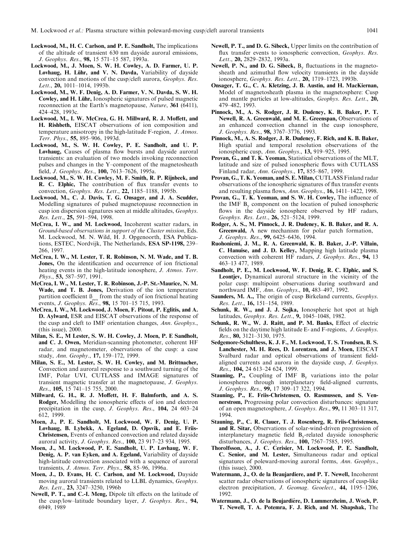- Lockwood, M., H. C. Carlson, and P. E. Sandholt, The implications of the altitude of transient 630 nm dayside auroral emissions, J. Geophys. Res., 98, 15 571-15 587, 1993a.
- Lockwood, M., J. Moen, S. W. H. Cowley, A. D. Farmer, U. P. Løvhaug, H. Lühr, and V. N. Davda, Variability of dayside convection and motions of the cusp/cleft aurora, *Geophys. Res.* Lett., 20, 1011-1014, 1993b.
- Lockwood, M., W. F. Denig, A. D. Farmer, V. N. Davda, S. W. H. Cowley, and H. Lühr, Ionospheric signatures of pulsed magnetic reconnection at the Earth's magnetopause, Nature, 361 (6411), 424-428, 1993с.
- Lockwood, M., I. W. McCrea, G. H. Millward, R. J. Moffett, and H. Rishbeth, EISCAT observations of ion composition and temperature anisotropy in the high-latitude F-region, J. Atmos. Terr. Phys., 55, 895-906, 1993d.
- Lockwood, M., S. W. H. Cowley, P. E. Sandholt, and U. P. Løvhaug, Causes of plasma flow bursts and dayside auroral transients: an evaluation of two models invoking reconnection pulses and changes in the Y-component of the magnetosheath field, J. Geophys. Res., 100, 7613-7626, 1995a.
- Lockwood, M., S. W. H. Cowley, M. F. Smith, R. P. Rijnbeek, and R. C. Elphic, The contribution of flux transfer events to convection, Geophys. Res. Lett., 22, 1185-1188, 1995b.
- Lockwood, M., C. J. Davis, T. G. Onsager, and J. A. Scudder, Modelling signatures of pulsed magnetopause reconnection in cusp ion dispersion signatures seen at middle altitudes, Geophys. Res. Lett., 25, 591-594, 1998.
- McCrea, I. W., and M. Lockwood, Incoherent scatter radars, in Ground-based observations in support of the Cluster mission, Eds. M. Lockwood, M. N. Wild, H. J. Opgenoorth, ESA Publications, ESTEC, Nordvijk, The Netherlands, ESA SP-1198, 239-266, 1997.
- McCrea, I. W., M. Lester, T. R. Robinson, N. M. Wade, and T. B. Jones, On the identification and occurrence of ion frictional heating events in the high-latitude ionosphere, J. Atmos. Terr. Phys., 53, 587-597, 1991.
- McCrea, I. W., M. Lester, T. R. Robinson, J.-P. St.-Maurice, N. M. Wade, and T. B. Jones, Derivation of the ion temperature partition coefficient  $\beta_{\text{max}}$  from the study of ion frictional heating events, J. Geophys. Res., 98, 15 701-15 715, 1993.
- McCrea, I. W., M. Lockwood, J. Moen, F. Pitout, P. Eglitis, and A. D. Aylward, ESR and EISCAT observations of the response of the cusp and cleft to IMF orientation changes, Ann. Geophys., (this issue),  $2000$ .
- Milan, S. E., M Lester, S. W. H. Cowley, J. Moen, P. E Sandholt, and C. J. Owen, Meridian-scanning photometer, coherent HF radar, and magnetometer, observations of the cusp: a case study, Ann. Geophy., 17, 159-172, 1999.
- Milan, S. E., M. Lester, S. W. H. Cowley, and M. Brittnacher, Convection and auroral response to a southward turning of the IMF, Polar UVI, CUTLASS and IMAGE signatures of transient magnetic transfer at the magnetopause, J. Geophys. Res., 105, 15 741-15 755, 2000.
- Millward, G. H., R. J. Moffett, H. F. Balmforth, and A. S. Rodger, Modelling the ionospheric effects of ion and electron precipitation in the cusp, J. Geophys. Res., 104, 24 603-24 612, 1999.
- Moen, J., P. E. Sandholt, M. Lockwood, W. F. Denig, U. P. Løvhaug, B. Lybekk, A. Egeland, D. Opsvik, and E. Friis-Christensen, Events of enhanced convection and related dayside auroral activity, J. Geophys. Res., 100, 23 917-23 934, 1995.
- Moen, J., M. Lockwood, P. E. Sandholt, U. P. Løvhaug, W. F. Denig, A. P. van Eyken, and A. Egeland, Variability of dayside high-latitude convection associated with a sequence of auroral transients, J. Atmos. Terr. Phys., 58, 85-96, 1996a.
- Moen, J., D. Evans, H. C. Carlson, and M. Lockwood, Dayside moving auroral transients related to LLBL dynamics, Geophys. Res. Lett., 23, 3247-3250, 1996b
- Newell, P. T., and C.-I. Meng, Dipole tilt effects on the latitude of the cusp/low-latitude boundary layer, J. Geophys. Res., 94, 6949, 1989
- Newell, P. T., and D. G. Sibeck, Upper limits on the contribution of flux transfer events to ionospheric convection, Geophys. Res. Lett., 20, 2829-2832, 1993a.
- Newell, P. N., and D. G. Sibeck,  $B_v$  fluctuations in the magnetosheath and azimuthal flow velocity transients in the dayside ionosphere, Geophys. Res. Lett., 20, 1719-1723, 1993b.
- Onsager, T. G., C. A. Kletzing, J. B. Austin, and H. MacKiernan, Model of magnetosheath plasma in the magnetosphere: Cusp and mantle particles at low-altitudes, Geophys. Res. Lett., 20, 479-482, 1993.
- Pinnock, M., A. S. Rodger, J. R. Dudeney, K. B. Baker, P. T. Newell, R. A. Greenwald, and M. E. Greenspan, Observations of an enhanced convection channel in the cusp ionosphere, J. Geophys. Res., 98, 3767-3776, 1993.
- Pinnock, M., A. S. Rodger, J. R. Dudeney, F. Rich, and K. B. Baker, High spatial and temporal resolution observations of the ionospheric cusp, Ann. Geophys., 13, 919-925, 1995.
- Provan, G., and T. K. Yeoman, Statistical observations of the MLT, latitude and size of pulsed ionospheric flows with CUTLASS Finland radar, Ann. Geophys., 17, 855-867, 1999.
- Provan, G., T. K. Yeoman, and S. E. Milan, CUTLASS Finland radar observations of the ionospheric signatures of flux transfer events and resulting plasma flows, Ann. Geophys., 16, 1411-1422, 1998.
- Provan, G., T. K. Yeoman, and S. W. H. Cowley, The influence of the IMF  $B<sub>y</sub>$  component on the location of pulsed ionospheric flows in the dayside ionosphere observed by HF radars, Geophys. Res. Lett., 26, 521-5124, 1999.
- Rodger, A. S., M. Pinnock, J. R. Dudeney, K. B. Baker, and R. A. Greenwald, A new mechanism for polar patch formation, J. Geophys. Res., 99, 6425-6436, 1994.
- Ruohoniemi, J. M., R. A. Greenwald, K. B. Baker, J.-P. Villain, C. Hanuise, and J. D. Kelley, Mapping high latitude plasma convection with coherent HF radars, J. Geophys. Res., 94, 13 463-13 477, 1989.
- Sandholt, P. E., M. Lockwood, W. F. Denig, R. C. Elphic, and S. **Leontjev**, Dynamical auroral structure in the vicinity of the polar cusp: multipoint observations during southward and northward IMF, Ann. Geophys., 10, 483-497, 1992.
- Saunders, M. A., The origin of cusp Birkeland currents, Geophys. Res. Lett., 16, 151-154, 1989.
- Schunk, R. W., and J. J. Sojka, Ionospheric hot spot at high latitudes, Geophys. Res. Lett., 9, 1045-1048, 1982.
- Schunk, R. W., W. J. Raitt, and P. M. Banks, Effect of electric fields on the daytime high latitude E- and F-regions, J. Geophys. Res., 80, 3121-3130, 1975.
- Sedgemore-Schulthess, K. J. F., M. Lockwood, T. S. Trondsen, B. S. Lanchester, M. H. Rees, D. Lorentzen, and J. Moen, EISCAT Svalbard radar and optical observations of transient fieldaligned currents and aurora in the dayside cusp, J. Geophys. Res., 104, 24 613-24 624, 1999.
- **Stauning, P.,** Coupling of IMF  $B<sub>v</sub>$  variations into the polar ionospheres through interplanetary field-aligned currents, J. Geophys. Res., 99, 17 309-17 322, 1994.
- Stauning, P., E. Friis-Christensen, O. Rasmussen, and S. Vennerstrøm, Progressing polar convection disturbances: signature of an open magnetosphere, J. Geophys. Res., 99, 11 303-11 317, 1994
- Stauning, P., C. R. Clauer, T. J. Rosenberg, R. Friis-Christensen, and R. Sitar, Observations of solar-wind-driven progression of interplanetary magnetic field B<sub>v</sub>-related dayside ionospheric disturbances, J. Geophys. Res., 100, 7567-7585, 1995.
- Thorolfsson, A., J. C. Cerisier, M. Lockwood, P. E. Sandholt, C. Senior, and M. Lester, Simultaneous radar and optical signatures of poleward-moving auroral forms, Ann. Geophys., (this issue),  $2000$ .
- Watermann, J., O. de la Beaujardiere, and P. T. Newell, Incoherent scatter radar observations of ionospheric signatures of cusp-like electron precipitation, J. Geomag. Geoelect., 44, 1195-1206, 1992.
- Watermann, J., O. de la Beujardiére, D. Lummerzheim, J. Woch, P. T. Newell, T. A. Potemra, F. J. Rich, and M. Shapshak, The